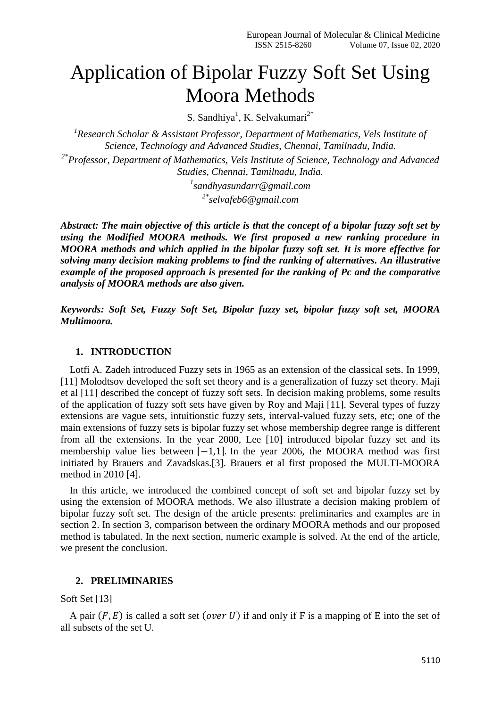# Application of Bipolar Fuzzy Soft Set Using Moora Methods

S. Sandhiya<sup>1</sup>, K. Selvakumari<sup>2\*</sup>

<sup>1</sup> Research Scholar & Assistant Professor, Department of Mathematics, Vels Institute of *Science, Technology and Advanced Studies, Chennai, Tamilnadu, India.*

*2\* Professor, Department of Mathematics, Vels Institute of Science, Technology and Advanced Studies, Chennai, Tamilnadu, India.*

*1 sandhyasundarr@gmail.com*

*2\*[selvafeb6@gmail.com](mailto:selvafeb6@gmail.com)*

*Abstract: The main objective of this article is that the concept of a bipolar fuzzy soft set by using the Modified MOORA methods. We first proposed a new ranking procedure in MOORA methods and which applied in the bipolar fuzzy soft set. It is more effective for solving many decision making problems to find the ranking of alternatives. An illustrative example of the proposed approach is presented for the ranking of Pc and the comparative analysis of MOORA methods are also given.*

*Keywords: Soft Set, Fuzzy Soft Set, Bipolar fuzzy set, bipolar fuzzy soft set, MOORA Multimoora.*

#### **1. INTRODUCTION**

Lotfi A. Zadeh introduced Fuzzy sets in 1965 as an extension of the classical sets. In 1999, [11] Molodtsov developed the soft set theory and is a generalization of fuzzy set theory. Maji et al [11] described the concept of fuzzy soft sets. In decision making problems, some results of the application of fuzzy soft sets have given by Roy and Maji [11]. Several types of fuzzy extensions are vague sets, intuitionstic fuzzy sets, interval-valued fuzzy sets, etc; one of the main extensions of fuzzy sets is bipolar fuzzy set whose membership degree range is different from all the extensions. In the year 2000, Lee [10] introduced bipolar fuzzy set and its membership value lies between  $[-1,1]$ . In the year 2006, the MOORA method was first initiated by Brauers and Zavadskas.[3]. Brauers et al first proposed the MULTI-MOORA method in 2010 [4].

In this article, we introduced the combined concept of soft set and bipolar fuzzy set by using the extension of MOORA methods. We also illustrate a decision making problem of bipolar fuzzy soft set. The design of the article presents: preliminaries and examples are in section 2. In section 3, comparison between the ordinary MOORA methods and our proposed method is tabulated. In the next section, numeric example is solved. At the end of the article, we present the conclusion.

#### **2. PRELIMINARIES**

#### Soft Set [13]

A pair  $(F, E)$  is called a soft set (over U) if and only if F is a mapping of E into the set of all subsets of the set U.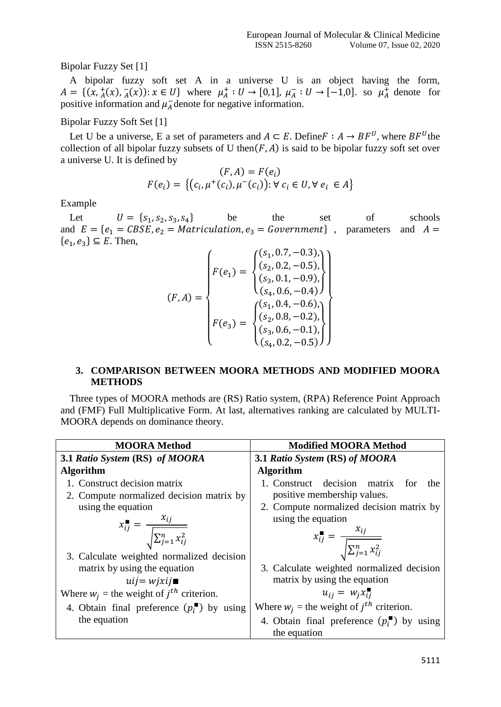## Bipolar Fuzzy Set [1]

A bipolar fuzzy soft set A in a universe U is an object having the form,  $A = \{ (x, \frac{1}{A}(x), \frac{1}{A}(x)) : x \in U \}$  where  $\mu_A^+ : U \to [0,1], \mu_A^- : U \to [-1,0].$  so  $\mu_A^+$  denote for positive information and  $\mu_A^-$  denote for negative information.

Bipolar Fuzzy Soft Set [1]

Let U be a universe, E a set of parameters and  $A \subseteq E$ . Define  $F : A \rightarrow BF^{U}$ , where  $BF^{U}$  the collection of all bipolar fuzzy subsets of U then( $F$ , $A$ ) is said to be bipolar fuzzy soft set over a universe U. It is defined by

$$
(F, A) = F(e_i)
$$
  

$$
F(e_i) = \{(c_i, \mu^+(c_i), \mu^-(c_i)) : \forall c_i \in U, \forall e_i \in A\}
$$

Example

Let  $U = \{s_1, s_2, s_3, s_4\}$ be the set of schools and  $E = \{e_1 = CBSE, e_2 = Matriculation, e_3 = Government\}$ , parameters and  $A =$  ${e_1, e_3} \subseteq E$ . Then,

$$
(F, A) = \begin{cases} F(e_1) = \begin{cases} (s_1, 0.7, -0.3), \\ (s_2, 0.2, -0.5), \\ (s_3, 0.1, -0.9), \\ (s_4, 0.6, -0.4) \end{cases} \\ F(e_3) = \begin{cases} (s_1, 0.4, -0.6), \\ (s_2, 0.8, -0.2), \\ (s_3, 0.6, -0.1), \\ (s_4, 0.2, -0.5) \end{cases}
$$

## **3. COMPARISON BETWEEN MOORA METHODS AND MODIFIED MOORA METHODS**

Three types of MOORA methods are (RS) Ratio system, (RPA) Reference Point Approach and (FMF) Full Multiplicative Form. At last, alternatives ranking are calculated by MULTI-MOORA depends on dominance theory.

| <b>MOORA</b> Method                                                     | <b>Modified MOORA Method</b>                                            |
|-------------------------------------------------------------------------|-------------------------------------------------------------------------|
| 3.1 Ratio System (RS) of MOORA                                          | 3.1 Ratio System (RS) of MOORA                                          |
| <b>Algorithm</b>                                                        | <b>Algorithm</b>                                                        |
| 1. Construct decision matrix                                            | 1. Construct decision matrix<br>for<br>the                              |
| 2. Compute normalized decision matrix by                                | positive membership values.                                             |
| using the equation                                                      | 2. Compute normalized decision matrix by                                |
|                                                                         | using the equation                                                      |
| $x_{ij}^{\blacksquare} = \frac{x_{ij}}{\sqrt{\sum_{j=1}^{n} x_{ij}^2}}$ | $x_{ij}^{\blacksquare} = \frac{x_{ij}}{\sqrt{\sum_{j=1}^{n} x_{ij}^2}}$ |
| 3. Calculate weighted normalized decision                               |                                                                         |
| matrix by using the equation                                            | 3. Calculate weighted normalized decision                               |
| $uij = wixij$                                                           | matrix by using the equation                                            |
| Where $w_i$ = the weight of $j^{th}$ criterion.                         | $u_{ij} = w_j x_{ij}$                                                   |
| 4. Obtain final preference $(p_i^{\blacksquare})$ by using              | Where $w_i$ = the weight of $j^{th}$ criterion.                         |
| the equation                                                            | 4. Obtain final preference $(p_i^{\bullet})$ by using<br>the equation   |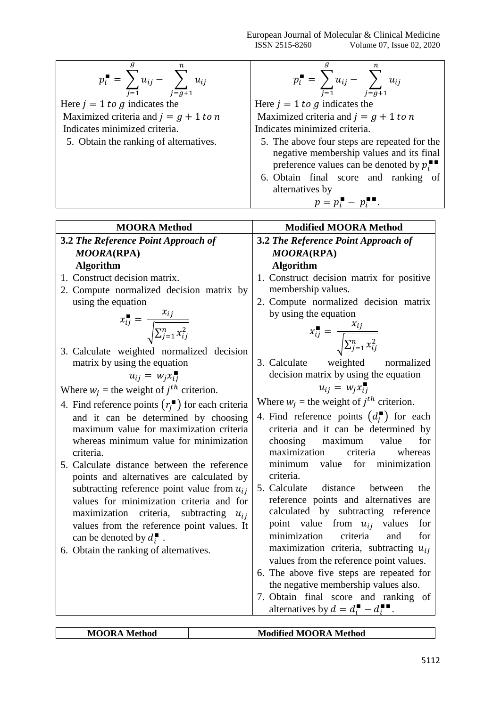European Journal of Molecular & Clinical Medicine ISSN 2515-8260 Volume 07, Issue 02, 2020

| n.<br>$p_i^{\blacksquare} = \sum_{j=1}^{\blacksquare} u_{ij} - \sum_{j=g+1}^{\blacksquare} u_{ij}$ | g<br>n.<br>$p_i^{\blacksquare} = \sum_{j=1} u_{ij} - \sum_{j=g+1} u_{ij}$                                                                                                                                                                                      |  |  |
|----------------------------------------------------------------------------------------------------|----------------------------------------------------------------------------------------------------------------------------------------------------------------------------------------------------------------------------------------------------------------|--|--|
| Here $j = 1$ to g indicates the                                                                    | Here $j = 1$ to g indicates the                                                                                                                                                                                                                                |  |  |
| Maximized criteria and $j = g + 1$ to n                                                            | Maximized criteria and $j = g + 1$ to n                                                                                                                                                                                                                        |  |  |
| Indicates minimized criteria.                                                                      | Indicates minimized criteria.                                                                                                                                                                                                                                  |  |  |
| 5. Obtain the ranking of alternatives.                                                             | 5. The above four steps are repeated for the<br>negative membership values and its final<br>preference values can be denoted by $p_i^{\blacksquare}$<br>6. Obtain final score and ranking of<br>alternatives by<br>$p = p_i^{\mathsf{m}} - p_i^{\mathsf{m}}$ . |  |  |
|                                                                                                    |                                                                                                                                                                                                                                                                |  |  |

| <b>MOORA</b> Method                                                                         | <b>Modified MOORA Method</b>                                                 |
|---------------------------------------------------------------------------------------------|------------------------------------------------------------------------------|
| 3.2 The Reference Point Approach of                                                         | <b>3.2 The Reference Point Approach of</b>                                   |
| <b>MOORA(RPA)</b>                                                                           | <b>MOORA(RPA)</b>                                                            |
| <b>Algorithm</b>                                                                            | <b>Algorithm</b>                                                             |
| 1. Construct decision matrix.                                                               | 1. Construct decision matrix for positive                                    |
| 2. Compute normalized decision matrix by                                                    | membership values.                                                           |
| using the equation                                                                          | 2. Compute normalized decision matrix                                        |
|                                                                                             | by using the equation                                                        |
| $x_{ij}^{\blacksquare} = \frac{x_{ij}}{\sqrt{\sum_{j=1}^{n} x_{ij}^2}}$                     |                                                                              |
|                                                                                             | $x_{ij}^{\blacksquare} = \frac{x_{ij}}{\sqrt{\sum_{j=1}^{n} x_{ij}^2}}$      |
| 3. Calculate weighted normalized decision                                                   |                                                                              |
| matrix by using the equation                                                                | 3. Calculate weighted<br>normalized<br>decision matrix by using the equation |
| $u_{ij} = w_i x_{ij}$                                                                       |                                                                              |
| Where $w_j$ = the weight of $j^{th}$ criterion.                                             | $u_{ij} = w_i x_{ij}$                                                        |
| 4. Find reference points $(r_i^{\bullet})$ for each criteria                                | Where $w_j$ = the weight of $j^{th}$ criterion.                              |
| and it can be determined by choosing                                                        | 4. Find reference points $(d_i^{\blacksquare})$ for each                     |
| maximum value for maximization criteria                                                     | criteria and it can be determined by                                         |
| whereas minimum value for minimization                                                      | choosing<br>for<br>maximum<br>value                                          |
| criteria.                                                                                   | maximization<br>criteria<br>whereas                                          |
| 5. Calculate distance between the reference                                                 | minimum value for minimization<br>criteria.                                  |
| points and alternatives are calculated by                                                   | 5. Calculate distance between<br>the                                         |
| subtracting reference point value from $u_{ij}$<br>values for minimization criteria and for | reference points and alternatives are                                        |
| maximization criteria,<br>subtracting $u_{ij}$                                              | calculated by subtracting reference                                          |
| values from the reference point values. It                                                  | point value from $u_{ij}$ values<br>for                                      |
| can be denoted by $d_i^{\blacksquare}$ .                                                    | criteria<br>minimization<br>and<br>for                                       |
| 6. Obtain the ranking of alternatives.                                                      | maximization criteria, subtracting $u_{ij}$                                  |
|                                                                                             | values from the reference point values.                                      |
|                                                                                             | 6. The above five steps are repeated for                                     |
|                                                                                             | the negative membership values also.                                         |
|                                                                                             | 7. Obtain final score and ranking of                                         |
|                                                                                             | alternatives by $d = d_i - d_i$ .                                            |
|                                                                                             |                                                                              |

| Mс<br>Iethod<br>MOOR.<br>$'$ RA<br>M<br>М<br>Method<br>M<br>. מ<br>ີ |
|----------------------------------------------------------------------|
|----------------------------------------------------------------------|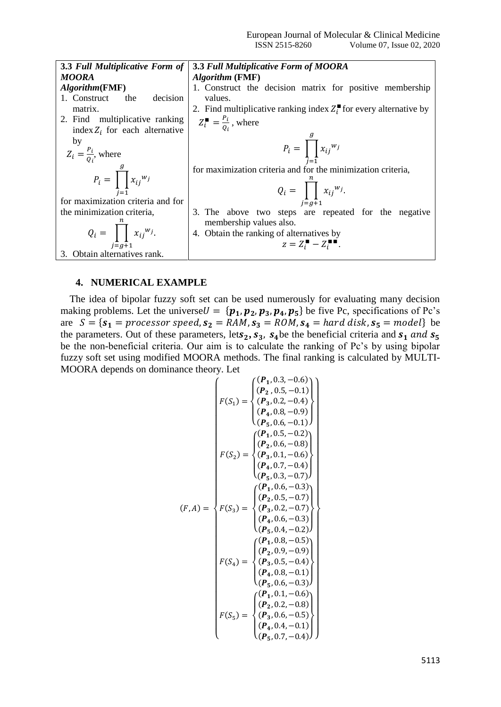| 3.3 Full Multiplicative Form of      | <b>3.3 Full Multiplicative Form of MOORA</b>                                       |
|--------------------------------------|------------------------------------------------------------------------------------|
| <b>MOORA</b>                         | <i><b>Algorithm (FMF)</b></i>                                                      |
| <i>Algorithm</i> (FMF)               | 1. Construct the decision matrix for positive membership                           |
| decision<br>1. Construct<br>the      | values.                                                                            |
| matrix.                              | 2. Find multiplicative ranking index $Z_i^{\blacksquare}$ for every alternative by |
| 2. Find multiplicative ranking       | $Z_i^{\blacksquare} = \frac{P_i}{Q_i}$ , where                                     |
| index $Z_i$ for each alternative     |                                                                                    |
| by                                   | $P_i = \prod_{i}^{g} x_{ij}^{w_i}$                                                 |
| $Z_i = \frac{P_i}{Q_i}$ , where      |                                                                                    |
|                                      |                                                                                    |
|                                      | for maximization criteria and for the minimization criteria,                       |
| $P_i = \prod_{j=1}^{g} x_{ij}^{w_j}$ |                                                                                    |
|                                      | $Q_i = \prod x_{ij}^{w_j}$ .                                                       |
| for maximization criteria and for    | $i\equiv a+1$                                                                      |
| the minimization criteria,           | 3. The above two steps are repeated for the negative                               |
|                                      | membership values also.                                                            |
| $Q_i = \prod x_{ij}^{w_j}$ .         | 4. Obtain the ranking of alternatives by                                           |
| $i = q + 1$                          | $z = Z_i^{\blacksquare} - Z_i^{\blacksquare \blacksquare}$ .                       |
| 3. Obtain alternatives rank.         |                                                                                    |
|                                      |                                                                                    |

#### **4. NUMERICAL EXAMPLE**

The idea of bipolar fuzzy soft set can be used numerously for evaluating many decision making problems. Let the universe  $U = \{p_1, p_2, p_3, p_4, p_5\}$  be five Pc, specifications of Pc's are  $S = \{s_1 = \text{processor speed}, s_2 = \overline{RAM}, s_3 = \overline{ROM}, s_4 = \overline{hard} \text{ disk}, s_5 = \text{model}\}\)$ the parameters. Out of these parameters, lets<sub>2</sub>,  $s_3$ ,  $s_4$ be the beneficial criteria and  $s_1$  and  $s_5$ be the non-beneficial criteria. Our aim is to calculate the ranking of Pc's by using bipolar fuzzy soft set using modified MOORA methods. The final ranking is calculated by MULTI-MOORA depends on dominance theory. Let

$$
F(S_1) = \begin{cases} (P_1, 0.3, -0.6) \\ (P_2, 0.5, -0.1) \\ (P_3, 0.2, -0.4) \\ (P_4, 0.8, -0.9) \\ (P_5, 0.6, -0.1) \end{cases} \\ F(S_2) = \begin{cases} (P_1, 0.5, -0.2) \\ (P_2, 0.6, -0.8) \\ (P_3, 0.1, -0.6) \\ (P_4, 0.7, -0.4) \\ (P_5, 0.3, -0.7) \end{cases} \\ (F, A) = \begin{cases} (P_1, 0.6, -0.3) \\ (P_2, 0.5, -0.7) \\ (P_3, 0.2, -0.7) \\ (P_4, 0.6, -0.3) \\ (P_5, 0.4, -0.2) \end{cases} \\ F(S_4) = \begin{cases} (P_1, 0.8, -0.5) \\ (P_2, 0.9, -0.9) \\ (P_3, 0.5, -0.4) \\ (P_4, 0.8, -0.1) \\ (P_5, 0.6, -0.3) \end{cases} \\ F(S_5) = \begin{cases} (P_1, 0.1, -0.6) \\ (P_2, 0.2, -0.8) \\ (P_3, 0.6, -0.5) \\ (P_4, 0.4, -0.1) \\ (P_5, 0.7, -0.4) \end{cases}
$$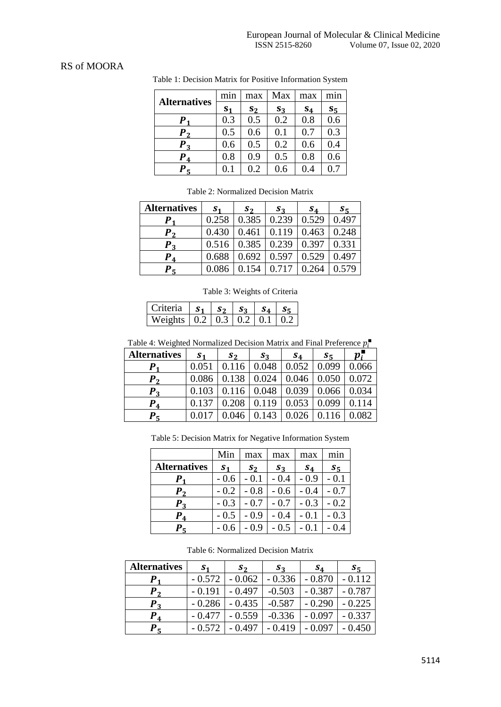## RS of MOORA

| <b>Alternatives</b> | min            | max   | Max   | max   | mnn     |
|---------------------|----------------|-------|-------|-------|---------|
|                     | S <sub>1</sub> | $S_2$ | $S_3$ | $S_4$ | $S_{5}$ |
| Р.                  | 0.3            | 0.5   | 0.2   | 0.8   | 0.6     |
| $\bm{P}_{\bm{2}}$   | 0.5            | 0.6   | 0.1   | 0.7   | 0.3     |
| $\bm{P}_3$          | 0.6            | 0.5   | 0.2   | 0.6   | 0.4     |
| $P_{4}$             | 0.8            | 0.9   | 0.5   | 0.8   | 0.6     |
| $P_{5}$             | $0.1\,$        | 0.2   | 0.6   | 0.4   | 0.7     |

Table 1: Decision Matrix for Positive Information System

| <b>Alternatives</b> | S <sub>1</sub> | $S_2$ | $S_3$ | $s_4$ | $S_{5}$ |
|---------------------|----------------|-------|-------|-------|---------|
|                     | 0.258          | 0.385 | 0.239 | 0.529 | 0.497   |
| Р.                  | 0.430          | 0.461 | 0.119 | 0.463 | 0.248   |
| $P_{2}$             | 0.516          | 0.385 | 0.239 | 0.397 | 0.331   |
| $\bm{P}_\textbf{4}$ | 0.688          | 0.692 | 0.597 | 0.529 | 0.497   |
| $P_{5}$             | 0.086          |       | 0.717 | 0.264 | 0.579   |

Table 2: Normalized Decision Matrix

Table 3: Weights of Criteria

| Criteria   $s_1$   $s_2$   $s_3$   $s_4$                          |  |  |  |
|-------------------------------------------------------------------|--|--|--|
| Weights $\vert 0.2 \vert 0.3 \vert 0.2 \vert 0.1 \vert 0.2 \vert$ |  |  |  |

Table 4: Weighted Normalized Decision Matrix and Final Preference  $p_i^{\blacksquare}$ 

| <b>Alternatives</b>   | S <sub>1</sub> | $s_2$ | $s_3$ | $S_4$ | $S_{\overline{5}}$ | $p_i$ |
|-----------------------|----------------|-------|-------|-------|--------------------|-------|
| D                     | 0.051          |       | 0.048 | 0.052 | 0.099              | 0.066 |
| $\bm{p}_{\bm{\cdot}}$ | 0.086          | 0.138 | 0.024 | 0.046 | 0.050              | 0.072 |
| $\boldsymbol{P}_2$    | 0.103          | 0.116 | 0.048 | 0.039 | 0.066              | 0.034 |
| D<br>$\overline{A}$   | 0.137          | 0.208 | 0.119 | 0.053 | 0.099              |       |
| D.                    |                | .046  |       |       |                    |       |

Table 5: Decision Matrix for Negative Information System

|                         | Min            | max    | max    | max    | min    |
|-------------------------|----------------|--------|--------|--------|--------|
| <b>Alternatives</b>     | S <sub>1</sub> | $s_2$  | $S_3$  | $S_4$  | $S_5$  |
| $\bm{P}_\textbf{1}$     | $-0.6$         | $-0.1$ | $-0.4$ | $-0.9$ | - 0.1  |
| P <sub>2</sub>          | $-0.2$         | $-0.8$ | $-0.6$ | $-0.4$ | $-0.7$ |
| $\bm{P}_3$              | $-0.3$         | $-0.7$ | $-0.7$ | $-0.3$ | $-0.2$ |
| $P_{4}$                 | $-0.5$         | $-0.9$ | $-0.4$ | $-0.1$ | - 0.3  |
| $\bm{P}_\bm{\varsigma}$ |                | 0.9    | $-0.5$ | - 0.1  |        |

| Table 6: Normalized Decision Matrix |
|-------------------------------------|
|-------------------------------------|

| <b>Alternatives</b> | S <sub>1</sub> | $S_2$    | $S_3$    | $S_4$    | $S_{5}$  |
|---------------------|----------------|----------|----------|----------|----------|
| Ρ,                  | $-0.572$       | 0.062    | $-0.336$ | $-0.870$ | $-0.112$ |
| P <sub>2</sub>      | $-0.191$       | 0.497    | $-0.503$ | $-0.387$ | $-0.787$ |
| $P_3$               | $-0.286$       | $-0.435$ | $-0.587$ | $-0.290$ | $-0.225$ |
| $P_{4}$             | $-0.477$       | $-0.559$ | $-0.336$ | $-0.097$ | $-0.337$ |
| $P_{5}$             | $-0.572$       | $-0.497$ | $-0.419$ | $-0.097$ | $-0.450$ |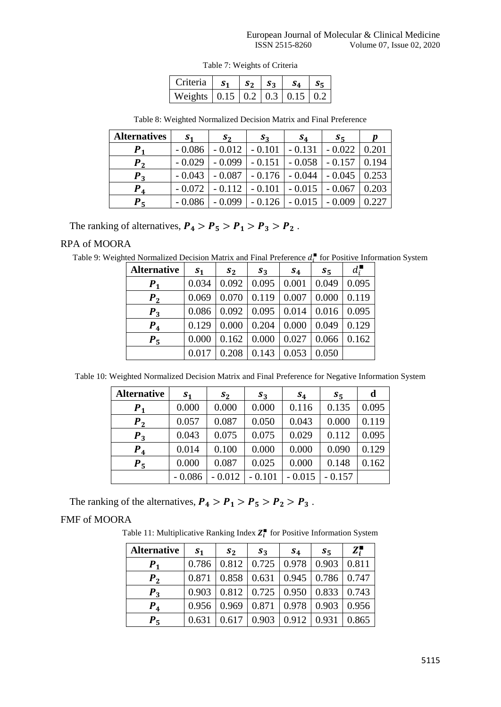|  |  | Table 7: Weights of Criteria |
|--|--|------------------------------|
|--|--|------------------------------|

| Criteria   $s_1$   $s_2$   $s_3$   $s_4$   $s_5$              |  |  |  |
|---------------------------------------------------------------|--|--|--|
| Weights $\vert 0.15 \vert 0.2 \vert 0.3 \vert 0.15 \vert 0.2$ |  |  |  |

| <b>Alternatives</b> | S <sub>1</sub> | $S_2$    | $S_3$    | $s_4$    | $S_{5}$  | D     |
|---------------------|----------------|----------|----------|----------|----------|-------|
| $\bm{P}_1$          | $-0.086$       | $-0.012$ | $-0.101$ | $-0.131$ | $-0.022$ | 0.201 |
| P <sub>2</sub>      | $-0.029$       | $-0.099$ | $-0.151$ | $-0.058$ | $-0.157$ | 0.194 |
| $\bm{P}_3$          | $-0.043$       | $-0.087$ | $-0.176$ | $-0.044$ | $-0.045$ | 0.253 |
| $P_{4}$             | $-0.072$       | $-0.112$ | $-0.101$ | $-0.015$ | $-0.067$ | 0.203 |
| D.<br>Н             |                | 0.099    | 0.126    |          | 0.009    |       |

Table 8: Weighted Normalized Decision Matrix and Final Preference

The ranking of alternatives,  $P_4 > P_5 > P_1 > P_3 > P_2$ .

## RPA of MOORA

Table 9: Weighted Normalized Decision Matrix and Final Preference  $d_i^{\blacksquare}$  for Positive Information System

| <b>Alternative</b> | S <sub>1</sub> | $s_2$ | $s_3$ | $S_4$ | $S_5$ | $d_i^{\blacksquare}$ |
|--------------------|----------------|-------|-------|-------|-------|----------------------|
| $P_{1}$            | 0.034          | 0.092 | 0.095 | 0.001 | 0.049 | 0.095                |
| $P_{2}$            | 0.069          | 0.070 | 0.119 | 0.007 | 0.000 | 0.119                |
| $P_3$              | 0.086          | 0.092 | 0.095 | 0.014 | 0.016 | 0.095                |
| $P_4$              | 0.129          | 0.000 | 0.204 | 0.000 | 0.049 | 0.129                |
| $P_{5}$            | 0.000          | 0.162 | 0.000 | 0.027 | 0.066 | 0.162                |
|                    | $0.01^{\circ}$ | 0.208 | 0.143 | 0.053 | 0.050 |                      |

Table 10: Weighted Normalized Decision Matrix and Final Preference for Negative Information System

| <b>Alternative</b> | S <sub>1</sub> | $s_2$    | $S_3$    | $S_4$    | $s_{5}$  | d     |
|--------------------|----------------|----------|----------|----------|----------|-------|
| $P_{1}$            | 0.000          | 0.000    | 0.000    | 0.116    | 0.135    | 0.095 |
| P <sub>2</sub>     | 0.057          | 0.087    | 0.050    | 0.043    | 0.000    | 0.119 |
| $P_3$              | 0.043          | 0.075    | 0.075    | 0.029    | 0.112    | 0.095 |
| $P_{4}$            | 0.014          | 0.100    | 0.000    | 0.000    | 0.090    | 0.129 |
| $P_5$              | 0.000          | 0.087    | 0.025    | 0.000    | 0.148    | 0.162 |
|                    | $-0.086$       | $-0.012$ | $-0.101$ | $-0.015$ | $-0.157$ |       |

The ranking of the alternatives,  $P_4 > P_1 > P_5 > P_2 > P_3$ .

## FMF of MOORA

Table 11: Multiplicative Ranking Index  $Z_i^{\blacksquare}$  for Positive Information System

| <b>Alternative</b> | S <sub>1</sub> | $s_2$ | $s_3$ | $s_{4}$ | $s_{5}$ | $Z_i^{\blacksquare}$ |
|--------------------|----------------|-------|-------|---------|---------|----------------------|
| $P_{1}$            | 0.786          | 0.812 | 0.725 | 0.978   | 0.903   | 0.811                |
| P <sub>2</sub>     | 0.871          | 0.858 | 0.631 | 0.945   | 0.786   | 0.747                |
| $P_3$              | 0.903          | 0.812 | 0.725 | 0.950   | 0.833   | 0.743                |
| $P_{4}$            | 0.956          | 0.969 | 0.871 | 0.978   | 0.903   | 0.956                |
| $P_{5}$            | 0.631          | 0.617 | 0.903 | 0.912   | 0.931   | 0.865                |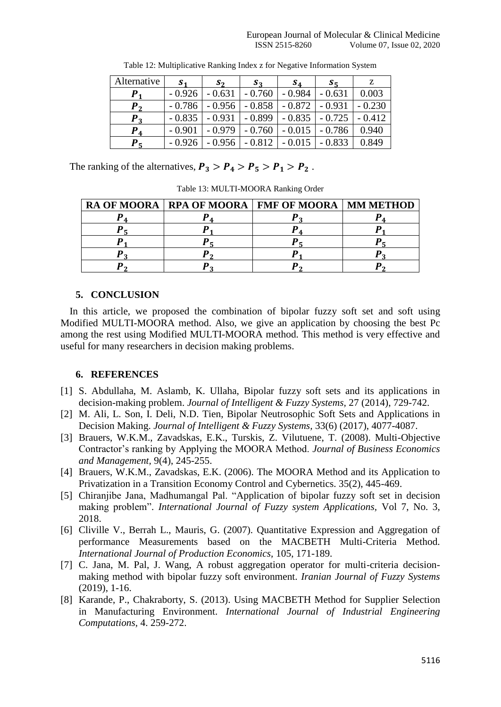| Alternative               | S <sub>1</sub> | $S_2$    | $S_3$    | $S_4$    | $S_{\overline{5}}$ | z        |
|---------------------------|----------------|----------|----------|----------|--------------------|----------|
| $P_{4}$                   | $-0.926$       | $-0.631$ | $-0.760$ | $-0.984$ | - 0.631            | 0.003    |
| Р,                        | $-0.786$       | $-0.956$ | $-0.858$ | $-0.872$ | $-0.931$           | $-0.230$ |
| $P_3$                     | $-0.835$       | $-0.931$ | $-0.899$ | $-0.835$ | $-0.725$           | $-0.412$ |
| $P_{4}$                   | $-0.901$       | $-0.979$ | $-0.760$ | $-0.015$ | $-0.786$           | 0.940    |
| $\bm{P}_{\bm{\varsigma}}$ | $-0.926$       | - 0.956  | $-0.812$ | $-0.015$ | $-0.833$           | 0.849    |

Table 12: Multiplicative Ranking Index z for Negative Information System

The ranking of the alternatives,  $P_3 > P_4 > P_5 > P_1 > P_2$ .

Table 13: MULTI-MOORA Ranking Order

|  | RA OF MOORA   RPA OF MOORA   FMF OF MOORA   MM METHOD |  |
|--|-------------------------------------------------------|--|
|  |                                                       |  |
|  |                                                       |  |
|  |                                                       |  |
|  |                                                       |  |
|  |                                                       |  |

# **5. CONCLUSION**

In this article, we proposed the combination of bipolar fuzzy soft set and soft using Modified MULTI-MOORA method. Also, we give an application by choosing the best Pc among the rest using Modified MULTI-MOORA method. This method is very effective and useful for many researchers in decision making problems.

# **6. REFERENCES**

- [1] S. Abdullaha, M. Aslamb, K. Ullaha, Bipolar fuzzy soft sets and its applications in decision-making problem. *Journal of Intelligent & Fuzzy Systems,* 27 (2014), 729-742.
- [2] M. Ali, L. Son, I. Deli, N.D. Tien, Bipolar Neutrosophic Soft Sets and Applications in Decision Making. *Journal of Intelligent & Fuzzy Systems,* 33(6) (2017), 4077-4087.
- [3] Brauers, W.K.M., Zavadskas, E.K., Turskis, Z. Vilutuene, T. (2008). Multi-Objective Contractor's ranking by Applying the MOORA Method. *Journal of Business Economics and Management,* 9(4), 245-255.
- [4] Brauers, W.K.M., Zavadskas, E.K. (2006). The MOORA Method and its Application to Privatization in a Transition Economy Control and Cybernetics. 35(2), 445-469.
- [5] Chiranjibe Jana, Madhumangal Pal. "Application of bipolar fuzzy soft set in decision making problem". *International Journal of Fuzzy system Applications,* Vol 7, No. 3, 2018.
- [6] Cliville V., Berrah L., Mauris, G. (2007). Quantitative Expression and Aggregation of performance Measurements based on the MACBETH Multi-Criteria Method. *International Journal of Production Economics,* 105, 171-189.
- [7] C. Jana, M. Pal, J. Wang, A robust aggregation operator for multi-criteria decisionmaking method with bipolar fuzzy soft environment. *Iranian Journal of Fuzzy Systems* (2019), 1-16.
- [8] Karande, P., Chakraborty, S. (2013). Using MACBETH Method for Supplier Selection in Manufacturing Environment. *International Journal of Industrial Engineering Computations,* 4. 259-272.